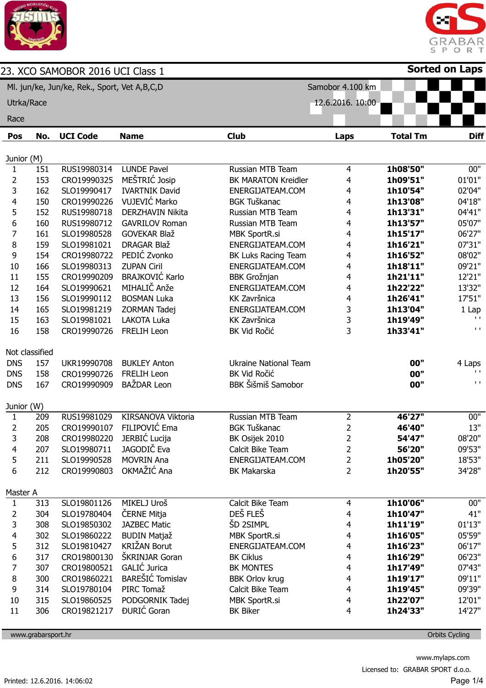

֦



| 23. XCO SAMOBOR 2016 UCI Class 1             |                |                 |                        |                              |                  |                 | <b>Sorted on Laps</b>       |
|----------------------------------------------|----------------|-----------------|------------------------|------------------------------|------------------|-----------------|-----------------------------|
| Ml. jun/ke, Jun/ke, Rek., Sport, Vet A,B,C,D |                |                 |                        |                              | Samobor 4.100 km |                 |                             |
| Utrka/Race                                   |                |                 |                        |                              | 12.6.2016. 10:00 |                 |                             |
| Race                                         |                |                 |                        |                              |                  |                 |                             |
| Pos                                          | No.            | <b>UCI Code</b> | <b>Name</b>            | <b>Club</b>                  | Laps             | <b>Total Tm</b> | <b>Diff</b>                 |
|                                              |                |                 |                        |                              |                  |                 |                             |
| Junior (M)<br>1                              | 151            | RUS19980314     | <b>LUNDE Pavel</b>     | Russian MTB Team             | $\overline{4}$   | 1h08'50"        | 00"                         |
| $\overline{2}$                               | 153            | CRO19990325     | MEŠTRIĆ Josip          | <b>BK MARATON Kreidler</b>   | 4                | 1h09'51"        | 01'01"                      |
| 3                                            | 162            | SLO19990417     | <b>IVARTNIK David</b>  | ENERGIJATEAM.COM             | 4                | 1h10'54"        | 02'04"                      |
| 4                                            | 150            | CRO19990226     | VUJEVIĆ Marko          | <b>BGK Tuškanac</b>          | 4                | 1h13'08"        | 04'18"                      |
| 5                                            | 152            | RUS19980718     | DERZHAVIN Nikita       | Russian MTB Team             | 4                | 1h13'31"        | 04'41"                      |
| 6                                            | 160            | RUS19980712     | <b>GAVRILOV Roman</b>  | Russian MTB Team             | 4                | 1h13'57"        | 05'07"                      |
| $\overline{7}$                               | 161            | SLO19980528     | <b>GOVEKAR Blaž</b>    | <b>MBK SportR.si</b>         | 4                | 1h15'17"        | 06'27"                      |
| 8                                            | 159            | SLO19981021     | DRAGAR Blaž            | ENERGIJATEAM.COM             | 4                | 1h16'21"        | 07'31"                      |
| 9                                            | 154            | CRO19980722     | PEDIĆ Zvonko           | BK Luks Racing Team          | 4                | 1h16'52"        | 08'02"                      |
| 10                                           | 166            | SLO19980313     | <b>ZUPAN Ciril</b>     | ENERGIJATEAM.COM             | 4                | 1h18'11"        | 09'21"                      |
| 11                                           | 155            | CRO19990209     | <b>BRAJKOVIĆ Karlo</b> | <b>BBK Grožnjan</b>          | 4                | 1h21'11"        | 12'21"                      |
| 12                                           | 164            | SLO19990621     | MIHALIČ Anže           | ENERGIJATEAM.COM             | 4                | 1h22'22"        | 13'32"                      |
| 13                                           | 156            | SLO19990112     | <b>BOSMAN Luka</b>     | KK Završnica                 | 4                | 1h26'41"        | 17'51"                      |
| 14                                           | 165            | SLO19981219     | ZORMAN Tadej           | ENERGIJATEAM.COM             | 3                | 1h13'04"        | 1 Lap                       |
| 15                                           | 163            | SLO19981021     | LAKOTA Luka            | KK Završnica                 | 3                | 1h19'49"        | $\mathbf{L}$                |
| 16                                           | 158            | CRO19990726     | <b>FRELIH Leon</b>     | BK Vid Ročić                 | 3                | 1h33'41"        | $\mathbf{I}$ . $\mathbf{I}$ |
|                                              | Not classified |                 |                        |                              |                  |                 |                             |
| <b>DNS</b>                                   | 157            | UKR19990708     | <b>BUKLEY Anton</b>    | <b>Ukraine National Team</b> |                  | 00"             | 4 Laps                      |
| <b>DNS</b>                                   | 158            | CRO19990726     | <b>FRELIH Leon</b>     | BK Vid Ročić                 |                  | 00"             | $\mathbf{L}$                |
| <b>DNS</b>                                   | 167            | CRO19990909     | BAŽDAR Leon            | <b>BBK Šišmiš Samobor</b>    |                  | 00"             | $\mathbf{L}$                |
| Junior (W)                                   |                |                 |                        |                              |                  |                 |                             |
| $\mathbf{1}$                                 | 209            | RUS19981029     | KIRSANOVA Viktoria     | Russian MTB Team             | $\overline{2}$   | 46'27"          | 00"                         |
| 2                                            | 205            | CRO19990107     | FILIPOVIĆ Ema          | <b>BGK Tuškanac</b>          | $\overline{2}$   | 46'40"          | 13"                         |
| 3                                            | 208            | CRO19980220     | JERBIĆ Lucija          | BK Osijek 2010               | 2                | 54'47"          | 08'20"                      |
| 4                                            | 207            | SLO19980711     | JAGODIČ Eva            | Calcit Bike Team             | $\overline{2}$   | 56'20"          | 09'53"                      |
| 5                                            | 211            | SLO19990528     | <b>MOVRIN Ana</b>      | ENERGIJATEAM.COM             | $\overline{2}$   | 1h05'20"        | 18'53"                      |
| 6                                            | 212            | CRO19990803     | OKMAŽIĆ Ana            | <b>BK Makarska</b>           | $\overline{2}$   | 1h20'55"        | 34'28"                      |
| Master A                                     |                |                 |                        |                              |                  |                 |                             |
| $\mathbf{1}$                                 | 313            | SLO19801126     | MIKELJ Uroš            | Calcit Bike Team             | 4                | 1h10'06"        | 00"                         |
| 2                                            | 304            | SLO19780404     | ČERNE Mitja            | DEŠ FLEŠ                     | 4                | 1h10'47"        | 41"                         |
| 3                                            | 308            | SLO19850302     | <b>JAZBEC Matic</b>    | ŠD 2SIMPL                    | 4                | 1h11'19"        | 01'13"                      |
| $\overline{4}$                               | 302            | SLO19860222     | <b>BUDIN Matjaž</b>    | <b>MBK SportR.si</b>         | 4                | 1h16'05"        | 05'59"                      |
| 5                                            | 312            | SLO19810427     | <b>KRIŽAN Borut</b>    | ENERGIJATEAM.COM             | 4                | 1h16'23"        | 06'17"                      |
| 6                                            | 317            | CRO19800130     | ŠKRINJAR Goran         | <b>BK Ciklus</b>             | 4                | 1h16'29"        | 06'23"                      |
| $\overline{7}$                               | 307            | CRO19800521     | GALIĆ Jurica           | BK MONTES                    | 4                | 1h17'49"        | 07'43"                      |
| 8                                            | 300            | CRO19860221     | BAREŠIĆ Tomislav       | <b>BBK Orlov krug</b>        | 4                | 1h19'17"        | 09'11"                      |
| 9                                            | 314            | SLO19780104     | PIRC Tomaž             | Calcit Bike Team             | 4                | 1h19'45"        | 09'39"                      |
| $10\,$                                       | 315            | SLO19860525     | PODGORNIK Tadej        | <b>MBK SportR.si</b>         | 4                | 1h22'07"        | 12'01"                      |
| 11                                           | 306            | CRO19821217     | <b>ĐURIĆ</b> Goran     | <b>BK Biker</b>              | 4                | 1h24'33"        | 14'27"                      |

www.grabarsport.hr Orbits Cycling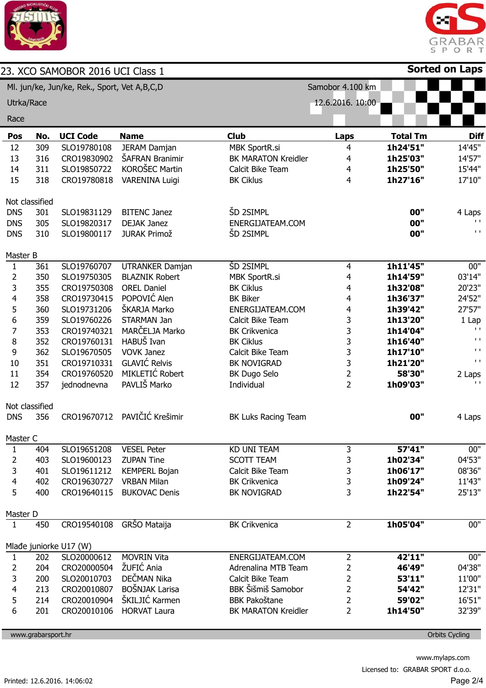



|                                              |     | 23. XCO SAMOBOR 2016 UCI Class 1 |                        |                            |                  |                 | <b>Sorted on Laps</b>       |
|----------------------------------------------|-----|----------------------------------|------------------------|----------------------------|------------------|-----------------|-----------------------------|
| Ml. jun/ke, Jun/ke, Rek., Sport, Vet A,B,C,D |     |                                  |                        |                            | Samobor 4.100 km |                 |                             |
| Utrka/Race                                   |     |                                  |                        |                            | 12.6.2016. 10:00 |                 |                             |
| Race                                         |     |                                  |                        |                            |                  |                 |                             |
| Pos                                          | No. | <b>UCI Code</b>                  | <b>Name</b>            | <b>Club</b>                | Laps             | <b>Total Tm</b> | <b>Diff</b>                 |
| 12                                           | 309 | SLO19780108                      | <b>JERAM Damjan</b>    | <b>MBK SportR.si</b>       | 4                | 1h24'51"        | 14'45"                      |
| 13                                           | 316 | CRO19830902                      | ŠAFRAN Branimir        | <b>BK MARATON Kreidler</b> | 4                | 1h25'03"        | 14'57"                      |
| 14                                           | 311 | SLO19850722                      | KOROŠEC Martin         | Calcit Bike Team           | 4                | 1h25'50"        | 15'44"                      |
| 15                                           | 318 | CRO19780818                      | <b>VARENINA Luigi</b>  | <b>BK Ciklus</b>           | $\overline{4}$   | 1h27'16"        | 17'10"                      |
| Not classified                               |     |                                  |                        |                            |                  |                 |                             |
| <b>DNS</b>                                   | 301 | SLO19831129                      | <b>BITENC Janez</b>    | ŠD 2SIMPL                  |                  | 00"             | 4 Laps                      |
| <b>DNS</b>                                   | 305 | SLO19820317                      | <b>DEJAK Janez</b>     | ENERGIJATEAM.COM           |                  | 00"             | $\mathbf{L}$                |
| <b>DNS</b>                                   | 310 | SLO19800117                      | <b>JURAK Primož</b>    | ŠD 2SIMPL                  |                  | 00"             | $\mathbf{I}$ . $\mathbf{I}$ |
| Master B                                     |     |                                  |                        |                            |                  |                 |                             |
| $\mathbf{1}$                                 | 361 | SLO19760707                      | <b>UTRANKER Damjan</b> | <b>ŠD 2SIMPL</b>           | 4                | 1h11'45"        | 00"                         |
| $\overline{2}$                               | 350 | SLO19750305                      | <b>BLAZNIK Robert</b>  | <b>MBK SportR.si</b>       | 4                | 1h14'59"        | 03'14"                      |
| 3                                            | 355 | CRO19750308                      | <b>OREL Daniel</b>     | <b>BK Ciklus</b>           | 4                | 1h32'08"        | 20'23"                      |
| $\overline{4}$                               | 358 | CRO19730415                      | POPOVIĆ Alen           | <b>BK Biker</b>            | 4                | 1h36'37"        | 24'52"                      |
| 5                                            | 360 | SLO19731206                      | ŠKARJA Marko           | ENERGIJATEAM.COM           | 4                | 1h39'42"        | 27'57"                      |
| 6                                            | 359 | SLO19760226                      | STARMAN Jan            | Calcit Bike Team           | 3                | 1h13'20"        | 1 Lap                       |
| $\overline{7}$                               | 353 | CRO19740321                      | MARČELJA Marko         | <b>BK Crikvenica</b>       | 3                | 1h14'04"        | $\mathbf{L}$                |
| 8                                            | 352 | CRO19760131                      | HABUŠ Ivan             | <b>BK Ciklus</b>           | 3                | 1h16'40"        | $\mathbf{L}$                |
| 9                                            | 362 | SLO19670505                      | <b>VOVK Janez</b>      | Calcit Bike Team           | 3                | 1h17'10"        | $\mathbf{L}$                |
| 10                                           | 351 | CRO19710331                      | <b>GLAVIĆ Relvis</b>   | BK NOVIGRAD                | 3                | 1h21'20"        | $\mathbf{L}$                |
| 11                                           | 354 | CRO19760520                      | MIKLETIĆ Robert        | BK Dugo Selo               | $\overline{2}$   | 58'30"          | 2 Laps                      |
| 12                                           | 357 | jednodnevna                      | PAVLIŠ Marko           | Individual                 | $\overline{2}$   | 1h09'03"        | $\mathbf{L}$                |
| Not classified                               |     |                                  |                        |                            |                  |                 |                             |
| <b>DNS</b>                                   | 356 | CRO19670712                      | PAVIČIĆ Krešimir       | <b>BK Luks Racing Team</b> |                  | 00"             | 4 Laps                      |
| Master C                                     |     |                                  |                        |                            |                  |                 |                             |
| 1                                            | 404 | SLO19651208                      | <b>VESEL Peter</b>     | <b>KD UNI TEAM</b>         | 3                | 57'41"          | 00"                         |
| 2                                            | 403 | SLO19600123                      | <b>ZUPAN Tine</b>      | <b>SCOTT TEAM</b>          | 3                | 1h02'34"        | 04'53"                      |
| 3                                            | 401 | SLO19611212                      | <b>KEMPERL Bojan</b>   | Calcit Bike Team           | 3                | 1h06'17"        | 08'36"                      |
| 4                                            | 402 | CRO19630727                      | <b>VRBAN Milan</b>     | <b>BK Crikvenica</b>       | 3                | 1h09'24"        | 11'43"                      |
| 5                                            | 400 | CRO19640115                      | <b>BUKOVAC Denis</b>   | BK NOVIGRAD                | 3                | 1h22'54"        | 25'13"                      |
| Master D                                     |     |                                  |                        |                            |                  |                 |                             |
| $\mathbf{1}$                                 | 450 | CRO19540108                      | GRŠO Mataija           | <b>BK Crikvenica</b>       | $\overline{2}$   | 1h05'04"        | 00"                         |
|                                              |     | Mlađe juniorke U17 (W)           |                        |                            |                  |                 |                             |
| 1                                            | 202 | SLO20000612                      | <b>MOVRIN Vita</b>     | ENERGIJATEAM.COM           | $\overline{2}$   | 42'11"          | 00"                         |
| 2                                            | 204 | CRO20000504                      | ŽUFIĆ Ania             | Adrenalina MTB Team        | 2                | 46'49"          | 04'38"                      |
| 3                                            | 200 | SLO20010703                      | DEČMAN Nika            | Calcit Bike Team           | 2                | 53'11"          | 11'00"                      |
| 4                                            | 213 | CRO20010807                      | <b>BOŠNJAK Larisa</b>  | BBK Šišmiš Samobor         | $\overline{2}$   | 54'42"          | 12'31"                      |
| 5                                            | 214 | CRO20010904                      | ŠKILJIĆ Karmen         | <b>BBK Pakoštane</b>       | $\overline{2}$   | 59'02"          | 16'51"                      |
| 6                                            | 201 | CRO20010106                      | <b>HORVAT Laura</b>    | <b>BK MARATON Kreidler</b> | $\overline{2}$   | 1h14'50"        | 32'39"                      |

www.grabarsport.hr Orbits Cycling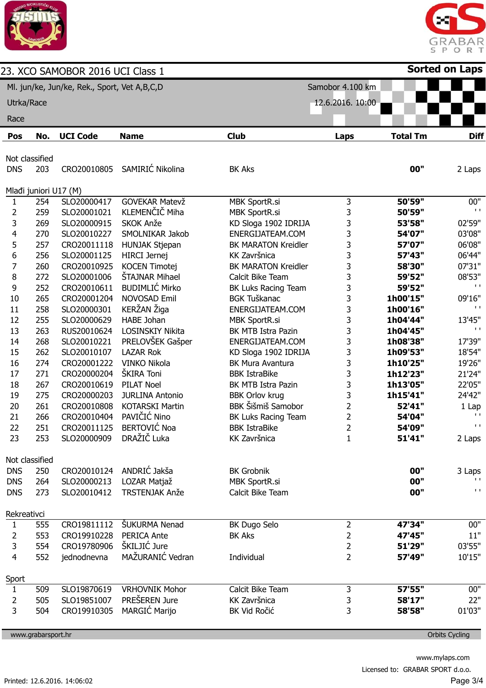

ABAR<br>ORT 5 S  $\mathsf P$ **Sorted on Laps**

|                                              |                    | 23. XCO SAMOBOR 2016 UCI Class 1 |                        |                            |                  |                 | Sorted on Laps                |
|----------------------------------------------|--------------------|----------------------------------|------------------------|----------------------------|------------------|-----------------|-------------------------------|
| Ml. jun/ke, Jun/ke, Rek., Sport, Vet A,B,C,D |                    |                                  |                        |                            | Samobor 4.100 km |                 |                               |
| Utrka/Race                                   |                    |                                  |                        | 12.6.2016. 10:00           |                  |                 |                               |
| Race                                         |                    |                                  |                        |                            |                  |                 |                               |
|                                              |                    |                                  |                        |                            |                  |                 |                               |
| Pos                                          | No.                | <b>UCI Code</b>                  | <b>Name</b>            | <b>Club</b>                | <b>Laps</b>      | <b>Total Tm</b> | <b>Diff</b>                   |
|                                              | Not classified     |                                  |                        |                            |                  |                 |                               |
| <b>DNS</b>                                   | 203                | CRO20010805                      | SAMIRIĆ Nikolina       | <b>BK Aks</b>              |                  | 00"             | 2 Laps                        |
|                                              |                    |                                  |                        |                            |                  |                 |                               |
|                                              |                    | Mlađi juniori U17 (M)            |                        |                            |                  |                 |                               |
| 1                                            | 254                | SLO20000417                      | <b>GOVEKAR Matevž</b>  | <b>MBK SportR.si</b>       | 3                | 50'59"          | 00"                           |
| $\overline{2}$                               | 259                | SLO20001021                      | KLEMENČIČ Miha         | <b>MBK SportR.si</b>       | 3                | 50'59"          | $\mathbf{I}$                  |
| 3                                            | 269                | SLO20000915                      | SKOK Anže              | KD Sloga 1902 IDRIJA       | 3                | 53'58"          | 02'59"                        |
| 4                                            | 270                | SLO20010227                      | SMOLNIKAR Jakob        | ENERGIJATEAM.COM           | 3                | 54'07"          | 03'08"                        |
| 5                                            | 257                | CRO20011118                      | HUNJAK Stjepan         | <b>BK MARATON Kreidler</b> | 3                | 57'07"          | 06'08"                        |
| 6                                            | 256                | SLO20001125                      | <b>HIRCI</b> Jernej    | KK Završnica               | 3                | 57'43"          | 06'44"                        |
| $\overline{7}$                               | 260                | CRO20010925                      | <b>KOCEN Timotej</b>   | <b>BK MARATON Kreidler</b> | 3                | 58'30"          | 07'31"                        |
| 8                                            | 272                | SLO20001006                      | <b>ŠTAJNAR Mihael</b>  | Calcit Bike Team           | 3                | 59'52"          | 08'53"                        |
| 9                                            | 252                | CRO20010611                      | <b>BUDIMLIĆ Mirko</b>  | BK Luks Racing Team        | 3                | 59'52"          | $\mathbf{L}$                  |
| 10                                           | 265                | CRO20001204                      | NOVOSAD Emil           | <b>BGK Tuškanac</b>        | 3                | 1h00'15"        | 09'16"                        |
| 11                                           | 258                | SLO20000301                      | KERŽAN Žiga            | ENERGIJATEAM.COM           | 3                | 1h00'16"        | $\mathbf{I}$                  |
| 12                                           | 255                | SLO20000629                      | <b>HABE Johan</b>      | <b>MBK SportR.si</b>       | 3                | 1h04'44"        | 13'45"                        |
| 13                                           | 263                | RUS20010624                      | LOSINSKIY Nikita       | BK MTB Istra Pazin         | 3                | 1h04'45"        | $\mathbf{I}$                  |
| 14                                           | 268                | SLO20010221                      | PRELOVŠEK Gašper       | ENERGIJATEAM.COM           | 3                | 1h08'38"        | 17'39"                        |
| 15                                           | 262                | SLO20010107                      | <b>LAZAR Rok</b>       | KD Sloga 1902 IDRIJA       | 3                | 1h09'53"        | 18'54"                        |
| 16                                           | 274                | CRO20001222                      | <b>VINKO Nikola</b>    | <b>BK Mura Avantura</b>    | 3                | 1h10'25"        | 19'26"                        |
| 17                                           | 271                | CRO20000204                      | ŠKIRA Toni             | <b>BBK IstraBike</b>       | 3                | 1h12'23"        | 21'24"                        |
| 18                                           | 267                | CRO20010619                      | <b>PILAT Noel</b>      | BK MTB Istra Pazin         | 3                | 1h13'05"        | 22'05"                        |
| 19                                           | 275                | CRO20000203                      | <b>JURLINA Antonio</b> | <b>BBK Orlov krug</b>      | 3                | 1h15'41"        | 24'42"                        |
| 20                                           | 261                | CRO20010808                      | <b>KOTARSKI Martin</b> | <b>BBK Šišmiš Samobor</b>  | $\overline{2}$   | 52'41"          | $1$ Lap                       |
| 21                                           | 266                | CRO20010404                      | PAVIČIĆ Nino           | BK Luks Racing Team        | $\overline{2}$   | 54'04"          | $\mathbf{I}$                  |
| 22                                           | 251                | CRO20011125                      | <b>BERTOVIĆ Noa</b>    | <b>BBK IstraBike</b>       | $\overline{2}$   | 54'09"          | $\mathbf{L}$ .                |
| 23                                           | 253                | SLO20000909                      | DRAŽIČ Luka            | KK Završnica               | $\mathbf{1}$     | 51'41"          | 2 Laps                        |
|                                              |                    |                                  |                        |                            |                  |                 |                               |
|                                              | Not classified     |                                  |                        |                            |                  |                 |                               |
| <b>DNS</b>                                   | 250                | CRO20010124                      | ANDRIĆ Jakša           | <b>BK Grobnik</b>          |                  | 00"             | 3 Laps                        |
| <b>DNS</b>                                   | 264                | SLO20000213                      | LOZAR Matjaž           | <b>MBK SportR.si</b>       |                  | 00"             | $\mathbf{L}$                  |
| <b>DNS</b>                                   | 273                | SLO20010412                      | <b>TRSTENJAK Anže</b>  | Calcit Bike Team           |                  | 00"             | $\mathbf{I} \cdot \mathbf{I}$ |
| Rekreativci                                  |                    |                                  |                        |                            |                  |                 |                               |
| 1                                            | 555                | CRO19811112                      | <b>ŠUKURMA Nenad</b>   | BK Dugo Selo               | 2                | 47'34"          | 00"                           |
| $\overline{2}$                               | 553                | CRO19910228                      | PERICA Ante            | <b>BK Aks</b>              | 2                | 47'45"          | 11"                           |
| 3                                            | 554                | CRO19780906                      | ŠKILJIĆ Jure           |                            | 2                | 51'29"          | 03'55"                        |
| $\overline{4}$                               | 552                | jednodnevna                      | MAŽURANIĆ Vedran       | Individual                 | $\overline{2}$   | 57'49"          | 10'15"                        |
|                                              |                    |                                  |                        |                            |                  |                 |                               |
| Sport                                        |                    |                                  |                        |                            |                  |                 |                               |
| $\mathbf{1}$                                 | 509                | SLO19870619                      | <b>VRHOVNIK Mohor</b>  | Calcit Bike Team           | 3                | 57'55"          | 00"                           |
| $\overline{2}$                               | 505                | SLO19851007                      | PREŠEREN Jure          | KK Završnica               | 3                | 58'17"          | 22"                           |
| 3                                            | 504                | CRO19910305                      | <b>MARGIĆ Marijo</b>   | BK Vid Ročić               | 3                | 58'58"          | 01'03"                        |
|                                              | www.grabarsport.hr |                                  |                        |                            |                  |                 | <b>Orbits Cycling</b>         |
|                                              |                    |                                  |                        |                            |                  |                 |                               |